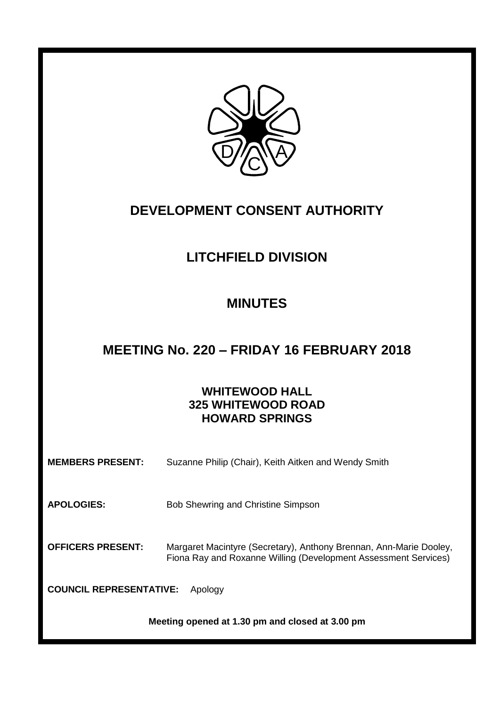

# **DEVELOPMENT CONSENT AUTHORITY**

# **LITCHFIELD DIVISION**

# **MINUTES**

# **MEETING No. 220 – FRIDAY 16 FEBRUARY 2018**

# **WHITEWOOD HALL 325 WHITEWOOD ROAD HOWARD SPRINGS**

| <b>MEMBERS PRESENT:</b>                         | Suzanne Philip (Chair), Keith Aitken and Wendy Smith                                                                                  |  |
|-------------------------------------------------|---------------------------------------------------------------------------------------------------------------------------------------|--|
| <b>APOLOGIES:</b>                               | Bob Shewring and Christine Simpson                                                                                                    |  |
| <b>OFFICERS PRESENT:</b>                        | Margaret Macintyre (Secretary), Anthony Brennan, Ann-Marie Dooley,<br>Fiona Ray and Roxanne Willing (Development Assessment Services) |  |
| <b>COUNCIL REPRESENTATIVE:</b><br>Apology       |                                                                                                                                       |  |
| Meeting opened at 1.30 pm and closed at 3.00 pm |                                                                                                                                       |  |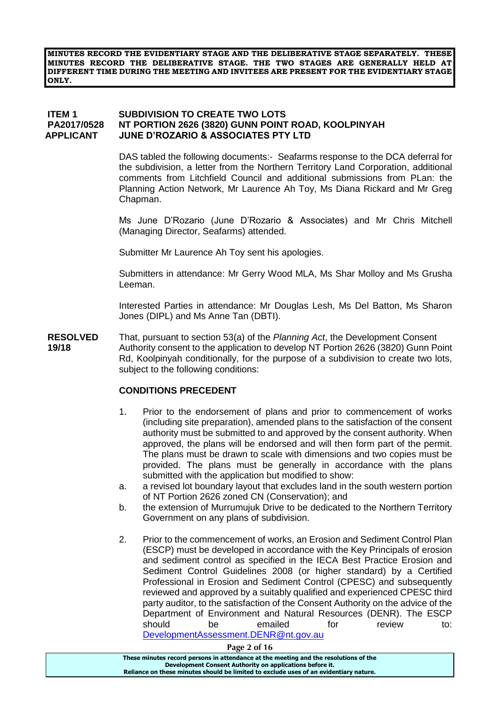**MINUTES RECORD THE EVIDENTIARY STAGE AND THE DELIBERATIVE STAGE SEPARATELY. THESE MINUTES RECORD THE DELIBERATIVE STAGE. THE TWO STAGES ARE GENERALLY HELD AT DIFFERENT TIME DURING THE MEETING AND INVITEES ARE PRESENT FOR THE EVIDENTIARY STAGE ONLY.**

### **ITEM 1 SUBDIVISION TO CREATE TWO LOTS PA2017/0528 NT PORTION 2626 (3820) GUNN POINT ROAD, KOOLPINYAH APPLICANT JUNE D'ROZARIO & ASSOCIATES PTY LTD**

DAS tabled the following documents:- Seafarms response to the DCA deferral for the subdivision, a letter from the Northern Territory Land Corporation, additional comments from Litchfield Council and additional submissions from PLan: the Planning Action Network, Mr Laurence Ah Toy, Ms Diana Rickard and Mr Greg Chapman.

Ms June D'Rozario (June D'Rozario & Associates) and Mr Chris Mitchell (Managing Director, Seafarms) attended.

Submitter Mr Laurence Ah Toy sent his apologies.

Submitters in attendance: Mr Gerry Wood MLA, Ms Shar Molloy and Ms Grusha Leeman.

Interested Parties in attendance: Mr Douglas Lesh, Ms Del Batton, Ms Sharon Jones (DIPL) and Ms Anne Tan (DBTI).

**RESOLVED** That, pursuant to section 53(a) of the *Planning Act*, the Development Consent **19/18** Authority consent to the application to develop NT Portion 2626 (3820) Gunn Point Rd, Koolpinyah conditionally, for the purpose of a subdivision to create two lots, subject to the following conditions:

### **CONDITIONS PRECEDENT**

- 1. Prior to the endorsement of plans and prior to commencement of works (including site preparation), amended plans to the satisfaction of the consent authority must be submitted to and approved by the consent authority. When approved, the plans will be endorsed and will then form part of the permit. The plans must be drawn to scale with dimensions and two copies must be provided. The plans must be generally in accordance with the plans submitted with the application but modified to show:
- a. a revised lot boundary layout that excludes land in the south western portion of NT Portion 2626 zoned CN (Conservation); and
- b. the extension of Murrumujuk Drive to be dedicated to the Northern Territory Government on any plans of subdivision.
- 2. Prior to the commencement of works, an Erosion and Sediment Control Plan (ESCP) must be developed in accordance with the Key Principals of erosion and sediment control as specified in the IECA Best Practice Erosion and Sediment Control Guidelines 2008 (or higher standard) by a Certified Professional in Erosion and Sediment Control (CPESC) and subsequently reviewed and approved by a suitably qualified and experienced CPESC third party auditor, to the satisfaction of the Consent Authority on the advice of the Department of Environment and Natural Resources (DENR). The ESCP should be emailed for review to: [DevelopmentAssessment.DENR@nt.gov.au](mailto:DevelopmentAssessment.DENR@nt.gov.au)

**Page 2 of 16**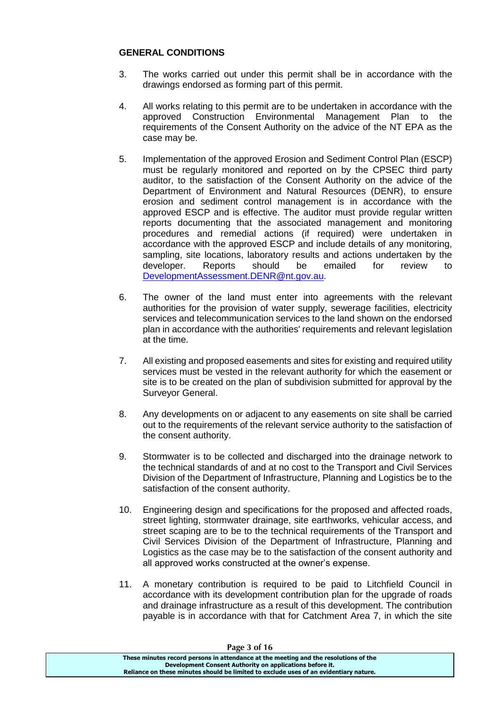## **GENERAL CONDITIONS**

- 3. The works carried out under this permit shall be in accordance with the drawings endorsed as forming part of this permit.
- 4. All works relating to this permit are to be undertaken in accordance with the approved Construction Environmental Management Plan to the requirements of the Consent Authority on the advice of the NT EPA as the case may be.
- 5. Implementation of the approved Erosion and Sediment Control Plan (ESCP) must be regularly monitored and reported on by the CPSEC third party auditor, to the satisfaction of the Consent Authority on the advice of the Department of Environment and Natural Resources (DENR), to ensure erosion and sediment control management is in accordance with the approved ESCP and is effective. The auditor must provide regular written reports documenting that the associated management and monitoring procedures and remedial actions (if required) were undertaken in accordance with the approved ESCP and include details of any monitoring, sampling, site locations, laboratory results and actions undertaken by the developer. Reports should be emailed for review to [DevelopmentAssessment.DENR@nt.gov.au.](mailto:DevelopmentAssessment.DENR@nt.gov.au)
- 6. The owner of the land must enter into agreements with the relevant authorities for the provision of water supply, sewerage facilities, electricity services and telecommunication services to the land shown on the endorsed plan in accordance with the authorities' requirements and relevant legislation at the time.
- 7. All existing and proposed easements and sites for existing and required utility services must be vested in the relevant authority for which the easement or site is to be created on the plan of subdivision submitted for approval by the Surveyor General.
- 8. Any developments on or adjacent to any easements on site shall be carried out to the requirements of the relevant service authority to the satisfaction of the consent authority.
- 9. Stormwater is to be collected and discharged into the drainage network to the technical standards of and at no cost to the Transport and Civil Services Division of the Department of Infrastructure, Planning and Logistics be to the satisfaction of the consent authority.
- 10. Engineering design and specifications for the proposed and affected roads, street lighting, stormwater drainage, site earthworks, vehicular access, and street scaping are to be to the technical requirements of the Transport and Civil Services Division of the Department of Infrastructure, Planning and Logistics as the case may be to the satisfaction of the consent authority and all approved works constructed at the owner's expense.
- 11. A monetary contribution is required to be paid to Litchfield Council in accordance with its development contribution plan for the upgrade of roads and drainage infrastructure as a result of this development. The contribution payable is in accordance with that for Catchment Area 7, in which the site

| Page 3 of 16                                                                          |  |
|---------------------------------------------------------------------------------------|--|
| These minutes record persons in attendance at the meeting and the resolutions of the  |  |
| Development Consent Authority on applications before it.                              |  |
| Reliance on these minutes should be limited to exclude uses of an evidentiary nature. |  |

#### **Page 3 of 16**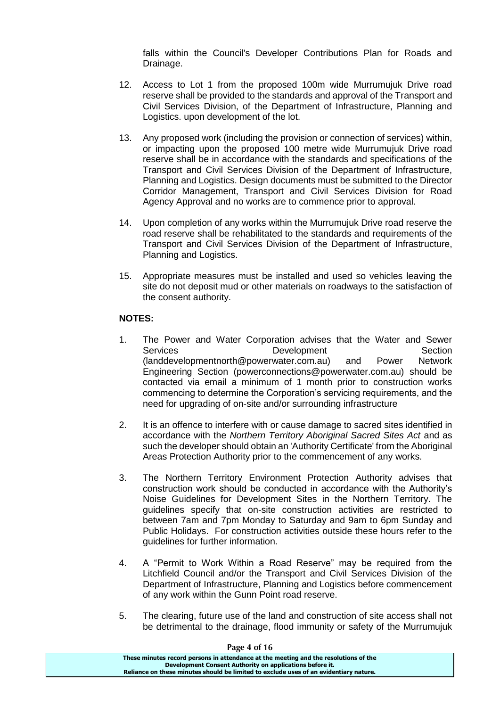falls within the Council's Developer Contributions Plan for Roads and Drainage.

- 12. Access to Lot 1 from the proposed 100m wide Murrumujuk Drive road reserve shall be provided to the standards and approval of the Transport and Civil Services Division, of the Department of Infrastructure, Planning and Logistics. upon development of the lot.
- 13. Any proposed work (including the provision or connection of services) within, or impacting upon the proposed 100 metre wide Murrumujuk Drive road reserve shall be in accordance with the standards and specifications of the Transport and Civil Services Division of the Department of Infrastructure, Planning and Logistics. Design documents must be submitted to the Director Corridor Management, Transport and Civil Services Division for Road Agency Approval and no works are to commence prior to approval.
- 14. Upon completion of any works within the Murrumujuk Drive road reserve the road reserve shall be rehabilitated to the standards and requirements of the Transport and Civil Services Division of the Department of Infrastructure, Planning and Logistics.
- 15. Appropriate measures must be installed and used so vehicles leaving the site do not deposit mud or other materials on roadways to the satisfaction of the consent authority.

# **NOTES:**

- 1. The Power and Water Corporation advises that the Water and Sewer Services **Development** Development Section (landdevelopmentnorth@powerwater.com.au) and Power Network Engineering Section (powerconnections@powerwater.com.au) should be contacted via email a minimum of 1 month prior to construction works commencing to determine the Corporation's servicing requirements, and the need for upgrading of on-site and/or surrounding infrastructure
- 2. It is an offence to interfere with or cause damage to sacred sites identified in accordance with the *Northern Territory Aboriginal Sacred Sites Act* and as such the developer should obtain an 'Authority Certificate' from the Aboriginal Areas Protection Authority prior to the commencement of any works.
- 3. The Northern Territory Environment Protection Authority advises that construction work should be conducted in accordance with the Authority's Noise Guidelines for Development Sites in the Northern Territory. The guidelines specify that on-site construction activities are restricted to between 7am and 7pm Monday to Saturday and 9am to 6pm Sunday and Public Holidays. For construction activities outside these hours refer to the guidelines for further information.
- 4. A "Permit to Work Within a Road Reserve" may be required from the Litchfield Council and/or the Transport and Civil Services Division of the Department of Infrastructure, Planning and Logistics before commencement of any work within the Gunn Point road reserve.
- 5. The clearing, future use of the land and construction of site access shall not be detrimental to the drainage, flood immunity or safety of the Murrumujuk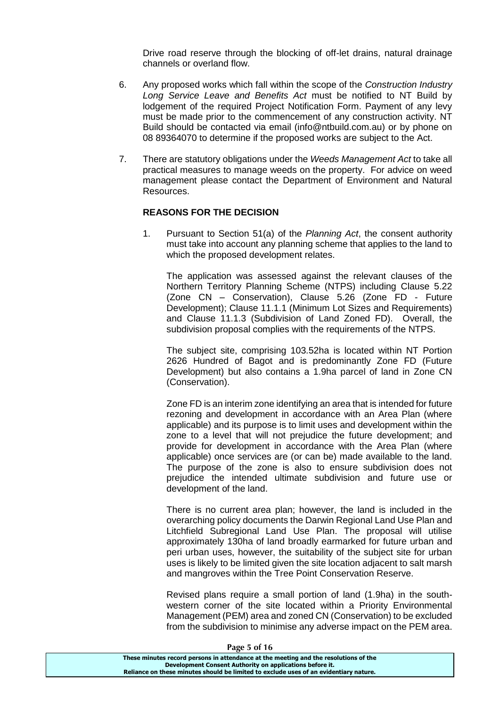Drive road reserve through the blocking of off-let drains, natural drainage channels or overland flow.

- 6. Any proposed works which fall within the scope of the *Construction Industry Long Service Leave and Benefits Act* must be notified to NT Build by lodgement of the required Project Notification Form. Payment of any levy must be made prior to the commencement of any construction activity. NT Build should be contacted via email (info@ntbuild.com.au) or by phone on 08 89364070 to determine if the proposed works are subject to the Act.
- 7. There are statutory obligations under the *Weeds Management Act* to take all practical measures to manage weeds on the property. For advice on weed management please contact the Department of Environment and Natural Resources.

## **REASONS FOR THE DECISION**

1. Pursuant to Section 51(a) of the *Planning Act*, the consent authority must take into account any planning scheme that applies to the land to which the proposed development relates.

The application was assessed against the relevant clauses of the Northern Territory Planning Scheme (NTPS) including Clause 5.22 (Zone CN – Conservation), Clause 5.26 (Zone FD - Future Development); Clause 11.1.1 (Minimum Lot Sizes and Requirements) and Clause 11.1.3 (Subdivision of Land Zoned FD). Overall, the subdivision proposal complies with the requirements of the NTPS.

The subject site, comprising 103.52ha is located within NT Portion 2626 Hundred of Bagot and is predominantly Zone FD (Future Development) but also contains a 1.9ha parcel of land in Zone CN (Conservation).

Zone FD is an interim zone identifying an area that is intended for future rezoning and development in accordance with an Area Plan (where applicable) and its purpose is to limit uses and development within the zone to a level that will not prejudice the future development; and provide for development in accordance with the Area Plan (where applicable) once services are (or can be) made available to the land. The purpose of the zone is also to ensure subdivision does not prejudice the intended ultimate subdivision and future use or development of the land.

There is no current area plan; however, the land is included in the overarching policy documents the Darwin Regional Land Use Plan and Litchfield Subregional Land Use Plan. The proposal will utilise approximately 130ha of land broadly earmarked for future urban and peri urban uses, however, the suitability of the subject site for urban uses is likely to be limited given the site location adjacent to salt marsh and mangroves within the Tree Point Conservation Reserve.

Revised plans require a small portion of land (1.9ha) in the southwestern corner of the site located within a Priority Environmental Management (PEM) area and zoned CN (Conservation) to be excluded from the subdivision to minimise any adverse impact on the PEM area.

**Page 5 of 16**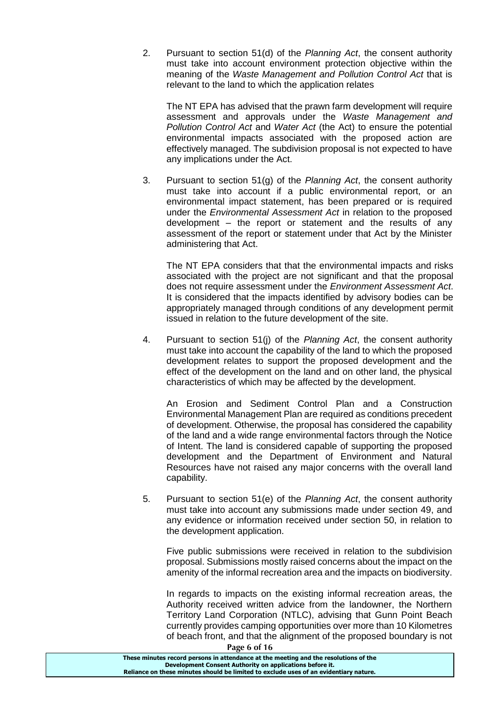2. Pursuant to section 51(d) of the *Planning Act*, the consent authority must take into account environment protection objective within the meaning of the *Waste Management and Pollution Control Act* that is relevant to the land to which the application relates

The NT EPA has advised that the prawn farm development will require assessment and approvals under the *Waste Management and Pollution Control Act* and *Water Act* (the Act) to ensure the potential environmental impacts associated with the proposed action are effectively managed. The subdivision proposal is not expected to have any implications under the Act.

3. Pursuant to section 51(g) of the *Planning Act*, the consent authority must take into account if a public environmental report, or an environmental impact statement, has been prepared or is required under the *Environmental Assessment Act* in relation to the proposed development – the report or statement and the results of any assessment of the report or statement under that Act by the Minister administering that Act.

The NT EPA considers that that the environmental impacts and risks associated with the project are not significant and that the proposal does not require assessment under the *Environment Assessment Act*. It is considered that the impacts identified by advisory bodies can be appropriately managed through conditions of any development permit issued in relation to the future development of the site.

4. Pursuant to section 51(j) of the *Planning Act*, the consent authority must take into account the capability of the land to which the proposed development relates to support the proposed development and the effect of the development on the land and on other land, the physical characteristics of which may be affected by the development.

An Erosion and Sediment Control Plan and a Construction Environmental Management Plan are required as conditions precedent of development. Otherwise, the proposal has considered the capability of the land and a wide range environmental factors through the Notice of Intent. The land is considered capable of supporting the proposed development and the Department of Environment and Natural Resources have not raised any major concerns with the overall land capability.

5. Pursuant to section 51(e) of the *Planning Act*, the consent authority must take into account any submissions made under section 49, and any evidence or information received under section 50, in relation to the development application.

Five public submissions were received in relation to the subdivision proposal. Submissions mostly raised concerns about the impact on the amenity of the informal recreation area and the impacts on biodiversity.

**Page 6 of 16** In regards to impacts on the existing informal recreation areas, the Authority received written advice from the landowner, the Northern Territory Land Corporation (NTLC), advising that Gunn Point Beach currently provides camping opportunities over more than 10 Kilometres of beach front, and that the alignment of the proposed boundary is not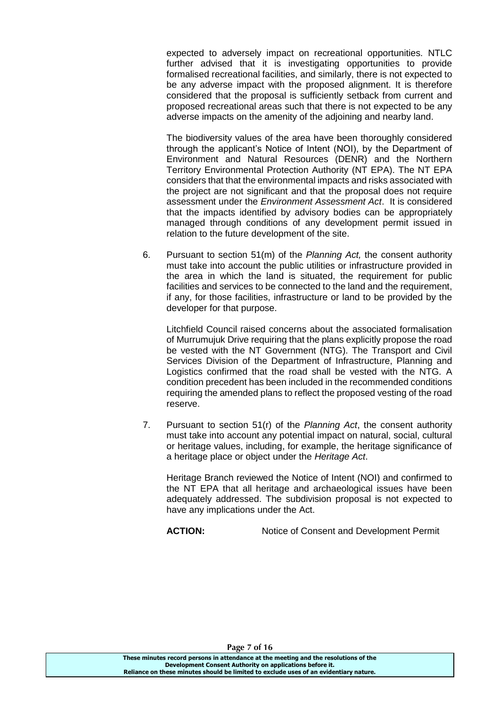expected to adversely impact on recreational opportunities. NTLC further advised that it is investigating opportunities to provide formalised recreational facilities, and similarly, there is not expected to be any adverse impact with the proposed alignment. It is therefore considered that the proposal is sufficiently setback from current and proposed recreational areas such that there is not expected to be any adverse impacts on the amenity of the adjoining and nearby land.

The biodiversity values of the area have been thoroughly considered through the applicant's Notice of Intent (NOI), by the Department of Environment and Natural Resources (DENR) and the Northern Territory Environmental Protection Authority (NT EPA). The NT EPA considers that that the environmental impacts and risks associated with the project are not significant and that the proposal does not require assessment under the *Environment Assessment Act*. It is considered that the impacts identified by advisory bodies can be appropriately managed through conditions of any development permit issued in relation to the future development of the site.

6. Pursuant to section 51(m) of the *Planning Act,* the consent authority must take into account the public utilities or infrastructure provided in the area in which the land is situated, the requirement for public facilities and services to be connected to the land and the requirement, if any, for those facilities, infrastructure or land to be provided by the developer for that purpose.

Litchfield Council raised concerns about the associated formalisation of Murrumujuk Drive requiring that the plans explicitly propose the road be vested with the NT Government (NTG). The Transport and Civil Services Division of the Department of Infrastructure, Planning and Logistics confirmed that the road shall be vested with the NTG. A condition precedent has been included in the recommended conditions requiring the amended plans to reflect the proposed vesting of the road reserve.

7. Pursuant to section 51(r) of the *Planning Act*, the consent authority must take into account any potential impact on natural, social, cultural or heritage values, including, for example, the heritage significance of a heritage place or object under the *Heritage Act*.

Heritage Branch reviewed the Notice of Intent (NOI) and confirmed to the NT EPA that all heritage and archaeological issues have been adequately addressed. The subdivision proposal is not expected to have any implications under the Act.

ACTION: Notice of Consent and Development Permit

**Page 7 of 16**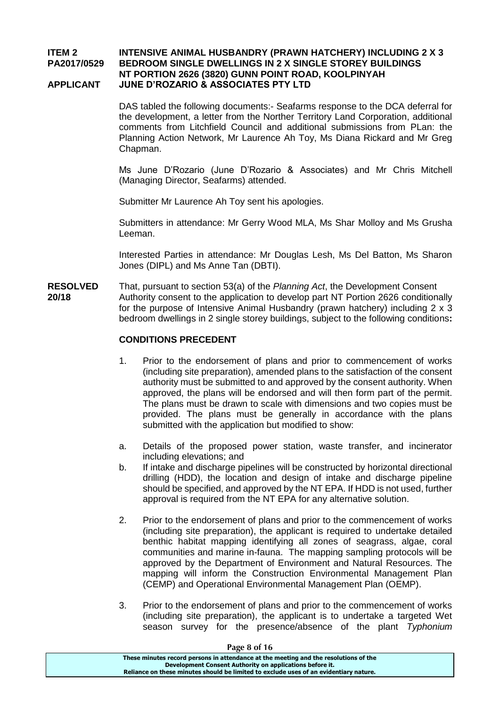#### **ITEM 2 INTENSIVE ANIMAL HUSBANDRY (PRAWN HATCHERY) INCLUDING 2 X 3 PA2017/0529 BEDROOM SINGLE DWELLINGS IN 2 X SINGLE STOREY BUILDINGS NT PORTION 2626 (3820) GUNN POINT ROAD, KOOLPINYAH APPLICANT JUNE D'ROZARIO & ASSOCIATES PTY LTD**

DAS tabled the following documents:- Seafarms response to the DCA deferral for the development, a letter from the Norther Territory Land Corporation, additional comments from Litchfield Council and additional submissions from PLan: the Planning Action Network, Mr Laurence Ah Toy, Ms Diana Rickard and Mr Greg Chapman.

Ms June D'Rozario (June D'Rozario & Associates) and Mr Chris Mitchell (Managing Director, Seafarms) attended.

Submitter Mr Laurence Ah Toy sent his apologies.

Submitters in attendance: Mr Gerry Wood MLA, Ms Shar Molloy and Ms Grusha Leeman.

Interested Parties in attendance: Mr Douglas Lesh, Ms Del Batton, Ms Sharon Jones (DIPL) and Ms Anne Tan (DBTI).

**RESOLVED** That, pursuant to section 53(a) of the *Planning Act*, the Development Consent **20/18** Authority consent to the application to develop part NT Portion 2626 conditionally for the purpose of Intensive Animal Husbandry (prawn hatchery) including 2 x 3 bedroom dwellings in 2 single storey buildings, subject to the following conditions**:**

### **CONDITIONS PRECEDENT**

- 1. Prior to the endorsement of plans and prior to commencement of works (including site preparation), amended plans to the satisfaction of the consent authority must be submitted to and approved by the consent authority. When approved, the plans will be endorsed and will then form part of the permit. The plans must be drawn to scale with dimensions and two copies must be provided. The plans must be generally in accordance with the plans submitted with the application but modified to show:
- a. Details of the proposed power station, waste transfer, and incinerator including elevations; and
- b. If intake and discharge pipelines will be constructed by horizontal directional drilling (HDD), the location and design of intake and discharge pipeline should be specified, and approved by the NT EPA. If HDD is not used, further approval is required from the NT EPA for any alternative solution.
- 2. Prior to the endorsement of plans and prior to the commencement of works (including site preparation), the applicant is required to undertake detailed benthic habitat mapping identifying all zones of seagrass, algae, coral communities and marine in-fauna. The mapping sampling protocols will be approved by the Department of Environment and Natural Resources. The mapping will inform the Construction Environmental Management Plan (CEMP) and Operational Environmental Management Plan (OEMP).
- 3. Prior to the endorsement of plans and prior to the commencement of works (including site preparation), the applicant is to undertake a targeted Wet season survey for the presence/absence of the plant *Typhonium*

| Page 8 of 16                                                                          |  |
|---------------------------------------------------------------------------------------|--|
| These minutes record persons in attendance at the meeting and the resolutions of the  |  |
| Development Consent Authority on applications before it.                              |  |
| Reliance on these minutes should be limited to exclude uses of an evidentiary nature. |  |

**Page 8 of 16**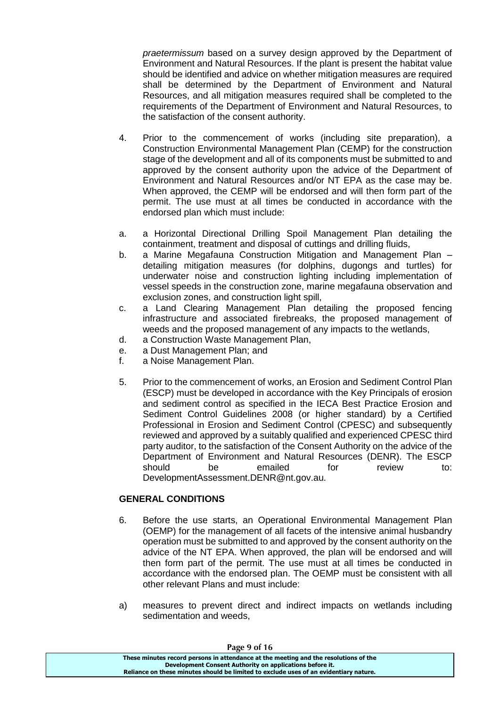*praetermissum* based on a survey design approved by the Department of Environment and Natural Resources. If the plant is present the habitat value should be identified and advice on whether mitigation measures are required shall be determined by the Department of Environment and Natural Resources, and all mitigation measures required shall be completed to the requirements of the Department of Environment and Natural Resources, to the satisfaction of the consent authority.

- 4. Prior to the commencement of works (including site preparation), a Construction Environmental Management Plan (CEMP) for the construction stage of the development and all of its components must be submitted to and approved by the consent authority upon the advice of the Department of Environment and Natural Resources and/or NT EPA as the case may be. When approved, the CEMP will be endorsed and will then form part of the permit. The use must at all times be conducted in accordance with the endorsed plan which must include:
- a. a Horizontal Directional Drilling Spoil Management Plan detailing the containment, treatment and disposal of cuttings and drilling fluids,
- b. a Marine Megafauna Construction Mitigation and Management Plan detailing mitigation measures (for dolphins, dugongs and turtles) for underwater noise and construction lighting including implementation of vessel speeds in the construction zone, marine megafauna observation and exclusion zones, and construction light spill,
- c. a Land Clearing Management Plan detailing the proposed fencing infrastructure and associated firebreaks, the proposed management of weeds and the proposed management of any impacts to the wetlands,
- d. a Construction Waste Management Plan,
- e. a Dust Management Plan; and
- f. a Noise Management Plan.
- 5. Prior to the commencement of works, an Erosion and Sediment Control Plan (ESCP) must be developed in accordance with the Key Principals of erosion and sediment control as specified in the IECA Best Practice Erosion and Sediment Control Guidelines 2008 (or higher standard) by a Certified Professional in Erosion and Sediment Control (CPESC) and subsequently reviewed and approved by a suitably qualified and experienced CPESC third party auditor, to the satisfaction of the Consent Authority on the advice of the Department of Environment and Natural Resources (DENR). The ESCP should be emailed for review to: DevelopmentAssessment.DENR@nt.gov.au.

# **GENERAL CONDITIONS**

- 6. Before the use starts, an Operational Environmental Management Plan (OEMP) for the management of all facets of the intensive animal husbandry operation must be submitted to and approved by the consent authority on the advice of the NT EPA. When approved, the plan will be endorsed and will then form part of the permit. The use must at all times be conducted in accordance with the endorsed plan. The OEMP must be consistent with all other relevant Plans and must include:
- a) measures to prevent direct and indirect impacts on wetlands including sedimentation and weeds,

| Page 9 of 16                                                                          |
|---------------------------------------------------------------------------------------|
| These minutes record persons in attendance at the meeting and the resolutions of the  |
| Development Consent Authority on applications before it.                              |
| Reliance on these minutes should be limited to exclude uses of an evidentiary nature. |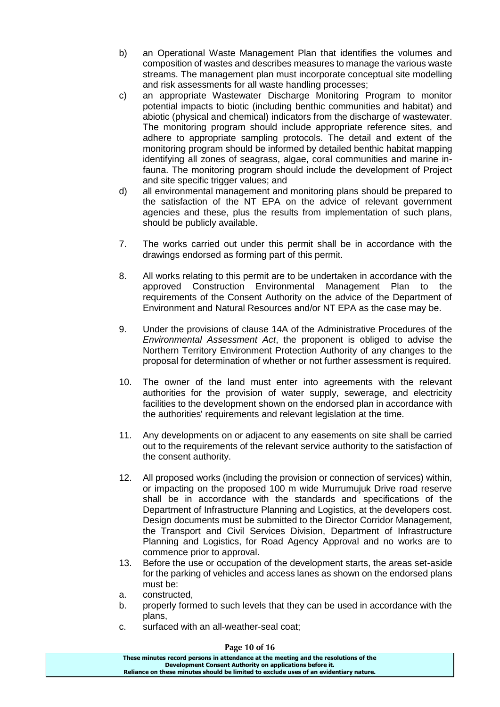- b) an Operational Waste Management Plan that identifies the volumes and composition of wastes and describes measures to manage the various waste streams. The management plan must incorporate conceptual site modelling and risk assessments for all waste handling processes;
- c) an appropriate Wastewater Discharge Monitoring Program to monitor potential impacts to biotic (including benthic communities and habitat) and abiotic (physical and chemical) indicators from the discharge of wastewater. The monitoring program should include appropriate reference sites, and adhere to appropriate sampling protocols. The detail and extent of the monitoring program should be informed by detailed benthic habitat mapping identifying all zones of seagrass, algae, coral communities and marine infauna. The monitoring program should include the development of Project and site specific trigger values; and
- d) all environmental management and monitoring plans should be prepared to the satisfaction of the NT EPA on the advice of relevant government agencies and these, plus the results from implementation of such plans, should be publicly available.
- 7. The works carried out under this permit shall be in accordance with the drawings endorsed as forming part of this permit.
- 8. All works relating to this permit are to be undertaken in accordance with the approved Construction Environmental Management Plan to the requirements of the Consent Authority on the advice of the Department of Environment and Natural Resources and/or NT EPA as the case may be.
- 9. Under the provisions of clause 14A of the Administrative Procedures of the *Environmental Assessment Act*, the proponent is obliged to advise the Northern Territory Environment Protection Authority of any changes to the proposal for determination of whether or not further assessment is required.
- 10. The owner of the land must enter into agreements with the relevant authorities for the provision of water supply, sewerage, and electricity facilities to the development shown on the endorsed plan in accordance with the authorities' requirements and relevant legislation at the time.
- 11. Any developments on or adjacent to any easements on site shall be carried out to the requirements of the relevant service authority to the satisfaction of the consent authority.
- 12. All proposed works (including the provision or connection of services) within, or impacting on the proposed 100 m wide Murrumujuk Drive road reserve shall be in accordance with the standards and specifications of the Department of Infrastructure Planning and Logistics, at the developers cost. Design documents must be submitted to the Director Corridor Management, the Transport and Civil Services Division, Department of Infrastructure Planning and Logistics, for Road Agency Approval and no works are to commence prior to approval.
- 13. Before the use or occupation of the development starts, the areas set-aside for the parking of vehicles and access lanes as shown on the endorsed plans must be:
- a. constructed,
- b. properly formed to such levels that they can be used in accordance with the plans,
- c. surfaced with an all-weather-seal coat;

| Page 10 of 16                                                                         |  |
|---------------------------------------------------------------------------------------|--|
| These minutes record persons in attendance at the meeting and the resolutions of the  |  |
| Development Consent Authority on applications before it.                              |  |
| Reliance on these minutes should be limited to exclude uses of an evidentiary nature. |  |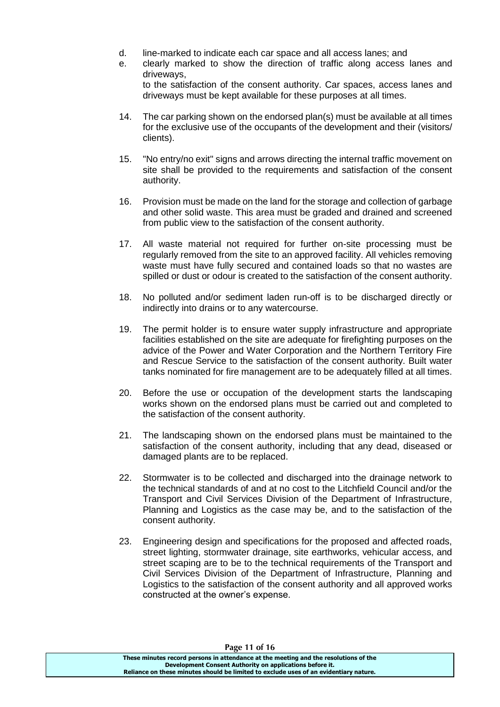- d. line-marked to indicate each car space and all access lanes; and
- e. clearly marked to show the direction of traffic along access lanes and driveways, to the satisfaction of the consent authority. Car spaces, access lanes and driveways must be kept available for these purposes at all times.
- 14. The car parking shown on the endorsed plan(s) must be available at all times for the exclusive use of the occupants of the development and their (visitors/ clients).
- 15. "No entry/no exit" signs and arrows directing the internal traffic movement on site shall be provided to the requirements and satisfaction of the consent authority.
- 16. Provision must be made on the land for the storage and collection of garbage and other solid waste. This area must be graded and drained and screened from public view to the satisfaction of the consent authority.
- 17. All waste material not required for further on-site processing must be regularly removed from the site to an approved facility. All vehicles removing waste must have fully secured and contained loads so that no wastes are spilled or dust or odour is created to the satisfaction of the consent authority.
- 18. No polluted and/or sediment laden run-off is to be discharged directly or indirectly into drains or to any watercourse.
- 19. The permit holder is to ensure water supply infrastructure and appropriate facilities established on the site are adequate for firefighting purposes on the advice of the Power and Water Corporation and the Northern Territory Fire and Rescue Service to the satisfaction of the consent authority. Built water tanks nominated for fire management are to be adequately filled at all times.
- 20. Before the use or occupation of the development starts the landscaping works shown on the endorsed plans must be carried out and completed to the satisfaction of the consent authority.
- 21. The landscaping shown on the endorsed plans must be maintained to the satisfaction of the consent authority, including that any dead, diseased or damaged plants are to be replaced.
- 22. Stormwater is to be collected and discharged into the drainage network to the technical standards of and at no cost to the Litchfield Council and/or the Transport and Civil Services Division of the Department of Infrastructure, Planning and Logistics as the case may be, and to the satisfaction of the consent authority.
- 23. Engineering design and specifications for the proposed and affected roads, street lighting, stormwater drainage, site earthworks, vehicular access, and street scaping are to be to the technical requirements of the Transport and Civil Services Division of the Department of Infrastructure, Planning and Logistics to the satisfaction of the consent authority and all approved works constructed at the owner's expense.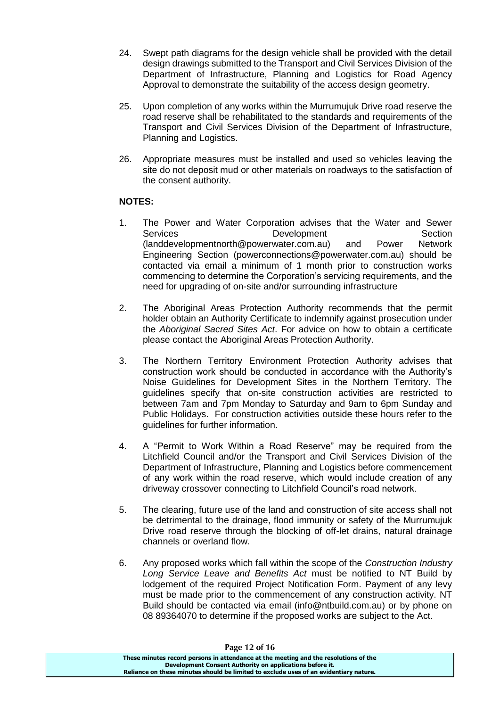- 24. Swept path diagrams for the design vehicle shall be provided with the detail design drawings submitted to the Transport and Civil Services Division of the Department of Infrastructure, Planning and Logistics for Road Agency Approval to demonstrate the suitability of the access design geometry.
- 25. Upon completion of any works within the Murrumujuk Drive road reserve the road reserve shall be rehabilitated to the standards and requirements of the Transport and Civil Services Division of the Department of Infrastructure, Planning and Logistics.
- 26. Appropriate measures must be installed and used so vehicles leaving the site do not deposit mud or other materials on roadways to the satisfaction of the consent authority.

# **NOTES:**

- 1. The Power and Water Corporation advises that the Water and Sewer Services **Development** Development Section (landdevelopmentnorth@powerwater.com.au) and Power Network Engineering Section (powerconnections@powerwater.com.au) should be contacted via email a minimum of 1 month prior to construction works commencing to determine the Corporation's servicing requirements, and the need for upgrading of on-site and/or surrounding infrastructure
- 2. The Aboriginal Areas Protection Authority recommends that the permit holder obtain an Authority Certificate to indemnify against prosecution under the *Aboriginal Sacred Sites Act*. For advice on how to obtain a certificate please contact the Aboriginal Areas Protection Authority.
- 3. The Northern Territory Environment Protection Authority advises that construction work should be conducted in accordance with the Authority's Noise Guidelines for Development Sites in the Northern Territory. The guidelines specify that on-site construction activities are restricted to between 7am and 7pm Monday to Saturday and 9am to 6pm Sunday and Public Holidays. For construction activities outside these hours refer to the guidelines for further information.
- 4. A "Permit to Work Within a Road Reserve" may be required from the Litchfield Council and/or the Transport and Civil Services Division of the Department of Infrastructure, Planning and Logistics before commencement of any work within the road reserve, which would include creation of any driveway crossover connecting to Litchfield Council's road network.
- 5. The clearing, future use of the land and construction of site access shall not be detrimental to the drainage, flood immunity or safety of the Murrumujuk Drive road reserve through the blocking of off-let drains, natural drainage channels or overland flow.
- 6. Any proposed works which fall within the scope of the *Construction Industry Long Service Leave and Benefits Act* must be notified to NT Build by lodgement of the required Project Notification Form. Payment of any levy must be made prior to the commencement of any construction activity. NT Build should be contacted via email (info@ntbuild.com.au) or by phone on 08 89364070 to determine if the proposed works are subject to the Act.

| Page 12 of 16                                                                         |  |
|---------------------------------------------------------------------------------------|--|
| These minutes record persons in attendance at the meeting and the resolutions of the  |  |
| Development Consent Authority on applications before it.                              |  |
| Reliance on these minutes should be limited to exclude uses of an evidentiary nature. |  |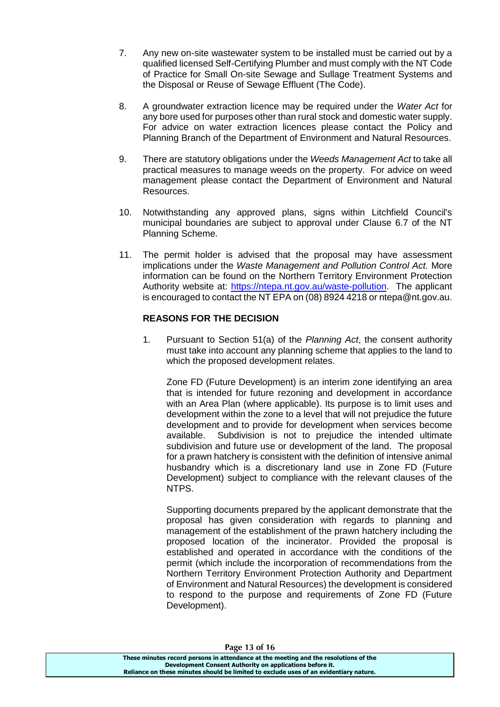- 7. Any new on-site wastewater system to be installed must be carried out by a qualified licensed Self-Certifying Plumber and must comply with the NT Code of Practice for Small On-site Sewage and Sullage Treatment Systems and the Disposal or Reuse of Sewage Effluent (The Code).
- 8. A groundwater extraction licence may be required under the *Water Act* for any bore used for purposes other than rural stock and domestic water supply. For advice on water extraction licences please contact the Policy and Planning Branch of the Department of Environment and Natural Resources.
- 9. There are statutory obligations under the *Weeds Management Act* to take all practical measures to manage weeds on the property. For advice on weed management please contact the Department of Environment and Natural Resources.
- 10. Notwithstanding any approved plans, signs within Litchfield Council's municipal boundaries are subject to approval under Clause 6.7 of the NT Planning Scheme.
- 11. The permit holder is advised that the proposal may have assessment implications under the *Waste Management and Pollution Control Act.* More information can be found on the Northern Territory Environment Protection Authority website at: [https://ntepa.nt.gov.au/waste-pollution.](https://ntepa.nt.gov.au/waste-pollution) The applicant is encouraged to contact the NT EPA on (08) 8924 4218 or ntepa@nt.gov.au.

# **REASONS FOR THE DECISION**

1. Pursuant to Section 51(a) of the *Planning Act*, the consent authority must take into account any planning scheme that applies to the land to which the proposed development relates.

Zone FD (Future Development) is an interim zone identifying an area that is intended for future rezoning and development in accordance with an Area Plan (where applicable). Its purpose is to limit uses and development within the zone to a level that will not prejudice the future development and to provide for development when services become available. Subdivision is not to prejudice the intended ultimate subdivision and future use or development of the land. The proposal for a prawn hatchery is consistent with the definition of intensive animal husbandry which is a discretionary land use in Zone FD (Future Development) subject to compliance with the relevant clauses of the NTPS.

Supporting documents prepared by the applicant demonstrate that the proposal has given consideration with regards to planning and management of the establishment of the prawn hatchery including the proposed location of the incinerator. Provided the proposal is established and operated in accordance with the conditions of the permit (which include the incorporation of recommendations from the Northern Territory Environment Protection Authority and Department of Environment and Natural Resources) the development is considered to respond to the purpose and requirements of Zone FD (Future Development).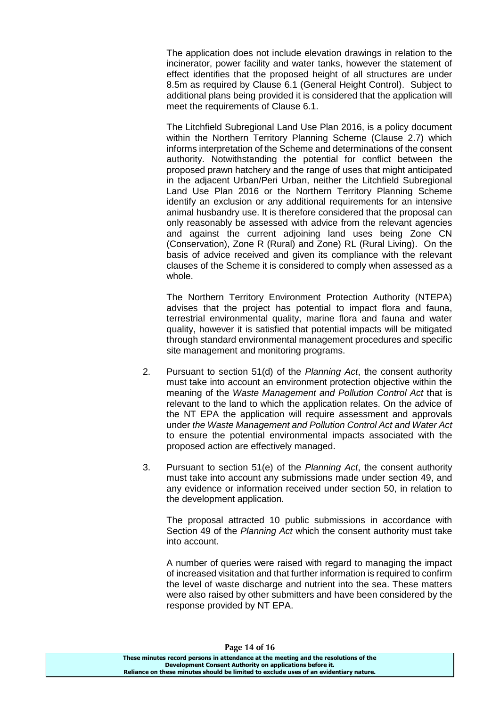The application does not include elevation drawings in relation to the incinerator, power facility and water tanks, however the statement of effect identifies that the proposed height of all structures are under 8.5m as required by Clause 6.1 (General Height Control). Subject to additional plans being provided it is considered that the application will meet the requirements of Clause 6.1.

The Litchfield Subregional Land Use Plan 2016, is a policy document within the Northern Territory Planning Scheme (Clause 2.7) which informs interpretation of the Scheme and determinations of the consent authority. Notwithstanding the potential for conflict between the proposed prawn hatchery and the range of uses that might anticipated in the adjacent Urban/Peri Urban, neither the Litchfield Subregional Land Use Plan 2016 or the Northern Territory Planning Scheme identify an exclusion or any additional requirements for an intensive animal husbandry use. It is therefore considered that the proposal can only reasonably be assessed with advice from the relevant agencies and against the current adjoining land uses being Zone CN (Conservation), Zone R (Rural) and Zone) RL (Rural Living). On the basis of advice received and given its compliance with the relevant clauses of the Scheme it is considered to comply when assessed as a whole.

The Northern Territory Environment Protection Authority (NTEPA) advises that the project has potential to impact flora and fauna, terrestrial environmental quality, marine flora and fauna and water quality, however it is satisfied that potential impacts will be mitigated through standard environmental management procedures and specific site management and monitoring programs.

- 2. Pursuant to section 51(d) of the *Planning Act*, the consent authority must take into account an environment protection objective within the meaning of the *Waste Management and Pollution Control Act* that is relevant to the land to which the application relates. On the advice of the NT EPA the application will require assessment and approvals under *the Waste Management and Pollution Control Act and Water Act* to ensure the potential environmental impacts associated with the proposed action are effectively managed.
- 3. Pursuant to section 51(e) of the *Planning Act*, the consent authority must take into account any submissions made under section 49, and any evidence or information received under section 50, in relation to the development application.

The proposal attracted 10 public submissions in accordance with Section 49 of the *Planning Act* which the consent authority must take into account.

A number of queries were raised with regard to managing the impact of increased visitation and that further information is required to confirm the level of waste discharge and nutrient into the sea. These matters were also raised by other submitters and have been considered by the response provided by NT EPA.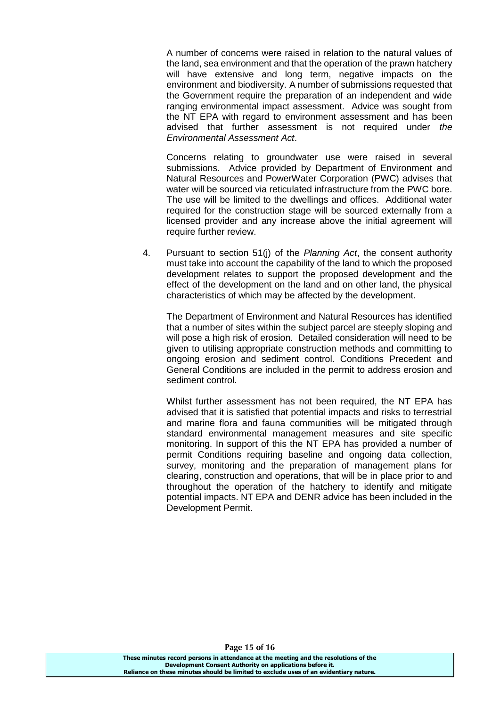A number of concerns were raised in relation to the natural values of the land, sea environment and that the operation of the prawn hatchery will have extensive and long term, negative impacts on the environment and biodiversity. A number of submissions requested that the Government require the preparation of an independent and wide ranging environmental impact assessment. Advice was sought from the NT EPA with regard to environment assessment and has been advised that further assessment is not required under *the Environmental Assessment Act*.

Concerns relating to groundwater use were raised in several submissions. Advice provided by Department of Environment and Natural Resources and PowerWater Corporation (PWC) advises that water will be sourced via reticulated infrastructure from the PWC bore. The use will be limited to the dwellings and offices. Additional water required for the construction stage will be sourced externally from a licensed provider and any increase above the initial agreement will require further review.

4. Pursuant to section 51(j) of the *Planning Act*, the consent authority must take into account the capability of the land to which the proposed development relates to support the proposed development and the effect of the development on the land and on other land, the physical characteristics of which may be affected by the development.

The Department of Environment and Natural Resources has identified that a number of sites within the subject parcel are steeply sloping and will pose a high risk of erosion. Detailed consideration will need to be given to utilising appropriate construction methods and committing to ongoing erosion and sediment control. Conditions Precedent and General Conditions are included in the permit to address erosion and sediment control.

Whilst further assessment has not been required, the NT EPA has advised that it is satisfied that potential impacts and risks to terrestrial and marine flora and fauna communities will be mitigated through standard environmental management measures and site specific monitoring. In support of this the NT EPA has provided a number of permit Conditions requiring baseline and ongoing data collection, survey, monitoring and the preparation of management plans for clearing, construction and operations, that will be in place prior to and throughout the operation of the hatchery to identify and mitigate potential impacts. NT EPA and DENR advice has been included in the Development Permit.

**These minutes record persons in attendance at the meeting and the resolutions of the Development Consent Authority on applications before it. Reliance on these minutes should be limited to exclude uses of an evidentiary nature.**